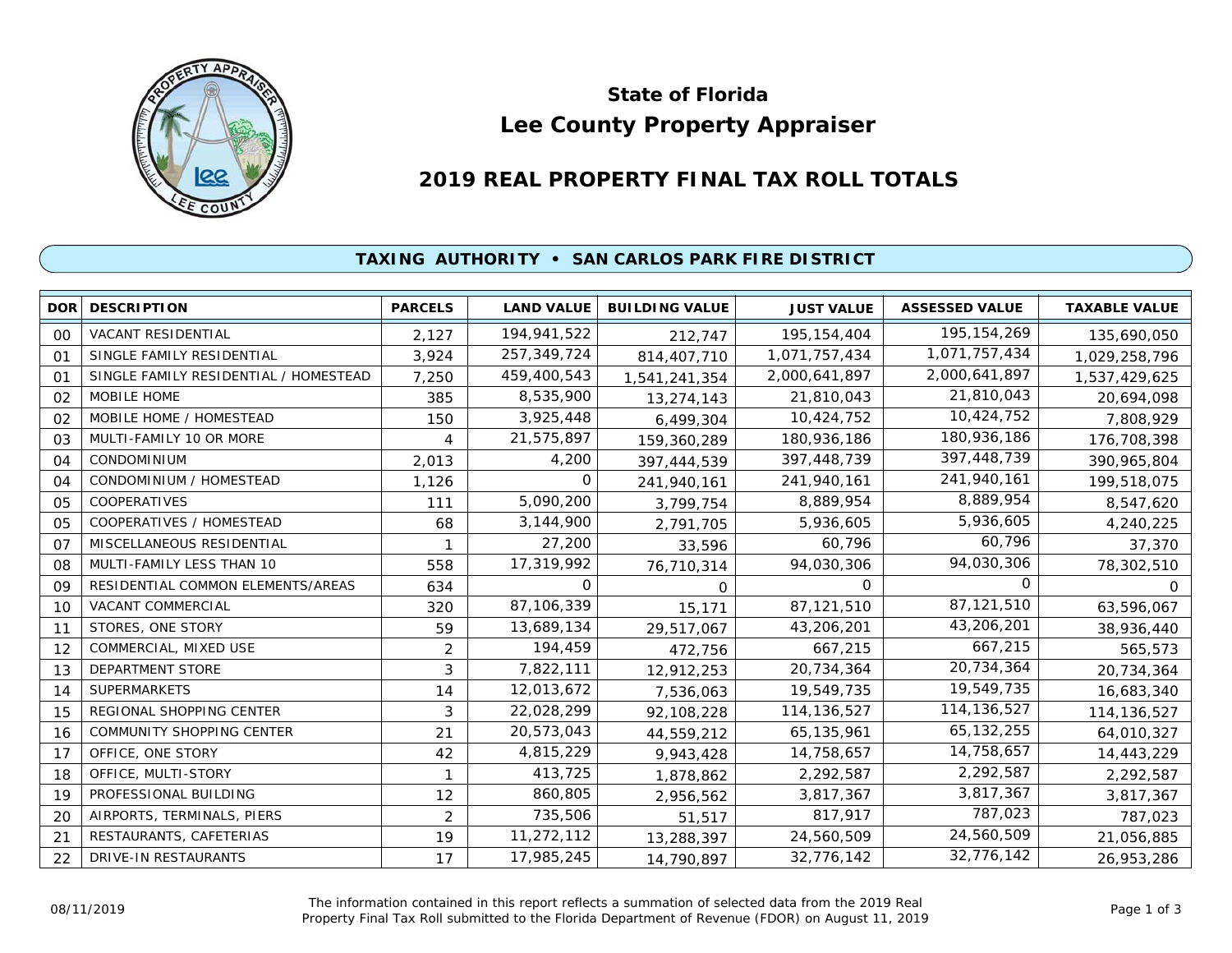

# **Lee County Property Appraiser State of Florida**

# **2019 REAL PROPERTY FINAL TAX ROLL TOTALS**

## **TAXING AUTHORITY • SAN CARLOS PARK FIRE DISTRICT**

| <b>DOR</b>     | <b>DESCRIPTION</b>                    | <b>PARCELS</b> | <b>LAND VALUE</b> | <b>BUILDING VALUE</b> | <b>JUST VALUE</b> | <b>ASSESSED VALUE</b> | <b>TAXABLE VALUE</b> |
|----------------|---------------------------------------|----------------|-------------------|-----------------------|-------------------|-----------------------|----------------------|
| 00             | <b>VACANT RESIDENTIAL</b>             | 2,127          | 194,941,522       | 212,747               | 195, 154, 404     | 195, 154, 269         | 135,690,050          |
| O <sub>1</sub> | SINGLE FAMILY RESIDENTIAL             | 3,924          | 257,349,724       | 814,407,710           | 1,071,757,434     | 1,071,757,434         | 1,029,258,796        |
| 01             | SINGLE FAMILY RESIDENTIAL / HOMESTEAD | 7,250          | 459,400,543       | 1,541,241,354         | 2,000,641,897     | 2,000,641,897         | 1,537,429,625        |
| 02             | MOBILE HOME                           | 385            | 8,535,900         | 13,274,143            | 21,810,043        | 21,810,043            | 20,694,098           |
| 02             | MOBILE HOME / HOMESTEAD               | 150            | 3,925,448         | 6,499,304             | 10,424,752        | 10,424,752            | 7,808,929            |
| 03             | MULTI-FAMILY 10 OR MORE               | 4              | 21,575,897        | 159,360,289           | 180,936,186       | 180,936,186           | 176,708,398          |
| 04             | <b>CONDOMINIUM</b>                    | 2,013          | 4,200             | 397,444,539           | 397,448,739       | 397,448,739           | 390,965,804          |
| 04             | CONDOMINIUM / HOMESTEAD               | 1,126          | O                 | 241,940,161           | 241,940,161       | 241,940,161           | 199,518,075          |
| 05             | COOPERATIVES                          | 111            | 5,090,200         | 3,799,754             | 8,889,954         | 8,889,954             | 8,547,620            |
| 05             | COOPERATIVES / HOMESTEAD              | 68             | 3,144,900         | 2,791,705             | 5,936,605         | 5,936,605             | 4,240,225            |
| 07             | MISCELLANEOUS RESIDENTIAL             |                | 27,200            | 33,596                | 60,796            | 60,796                | 37,370               |
| 08             | MULTI-FAMILY LESS THAN 10             | 558            | 17,319,992        | 76,710,314            | 94,030,306        | 94,030,306            | 78,302,510           |
| 09             | RESIDENTIAL COMMON ELEMENTS/AREAS     | 634            | O                 | 0                     | 0                 | $\Omega$              | 0                    |
| 10             | VACANT COMMERCIAL                     | 320            | 87,106,339        | 15,171                | 87,121,510        | 87,121,510            | 63,596,067           |
| 11             | STORES, ONE STORY                     | 59             | 13,689,134        | 29,517,067            | 43,206,201        | 43,206,201            | 38,936,440           |
| 12             | COMMERCIAL, MIXED USE                 | $\overline{2}$ | 194,459           | 472,756               | 667,215           | 667,215               | 565,573              |
| 13             | <b>DEPARTMENT STORE</b>               | 3              | 7,822,111         | 12,912,253            | 20,734,364        | 20,734,364            | 20,734,364           |
| 14             | <b>SUPERMARKETS</b>                   | 14             | 12,013,672        | 7,536,063             | 19,549,735        | 19,549,735            | 16,683,340           |
| 15             | REGIONAL SHOPPING CENTER              | 3              | 22,028,299        | 92,108,228            | 114, 136, 527     | 114, 136, 527         | 114,136,527          |
| 16             | COMMUNITY SHOPPING CENTER             | 21             | 20,573,043        | 44,559,212            | 65, 135, 961      | 65, 132, 255          | 64,010,327           |
| 17             | OFFICE, ONE STORY                     | 42             | 4,815,229         | 9,943,428             | 14,758,657        | 14,758,657            | 14,443,229           |
| 18             | OFFICE, MULTI-STORY                   | $\mathbf{1}$   | 413,725           | 1,878,862             | 2,292,587         | 2,292,587             | 2,292,587            |
| 19             | PROFESSIONAL BUILDING                 | 12             | 860,805           | 2,956,562             | 3,817,367         | 3,817,367             | 3,817,367            |
| 20             | AIRPORTS, TERMINALS, PIERS            | $\overline{2}$ | 735,506           | 51,517                | 817,917           | 787,023               | 787,023              |
| 21             | RESTAURANTS, CAFETERIAS               | 19             | 11,272,112        | 13,288,397            | 24,560,509        | 24,560,509            | 21,056,885           |
| 22             | DRIVE-IN RESTAURANTS                  | 17             | 17,985,245        | 14,790,897            | 32,776,142        | 32,776,142            | 26,953,286           |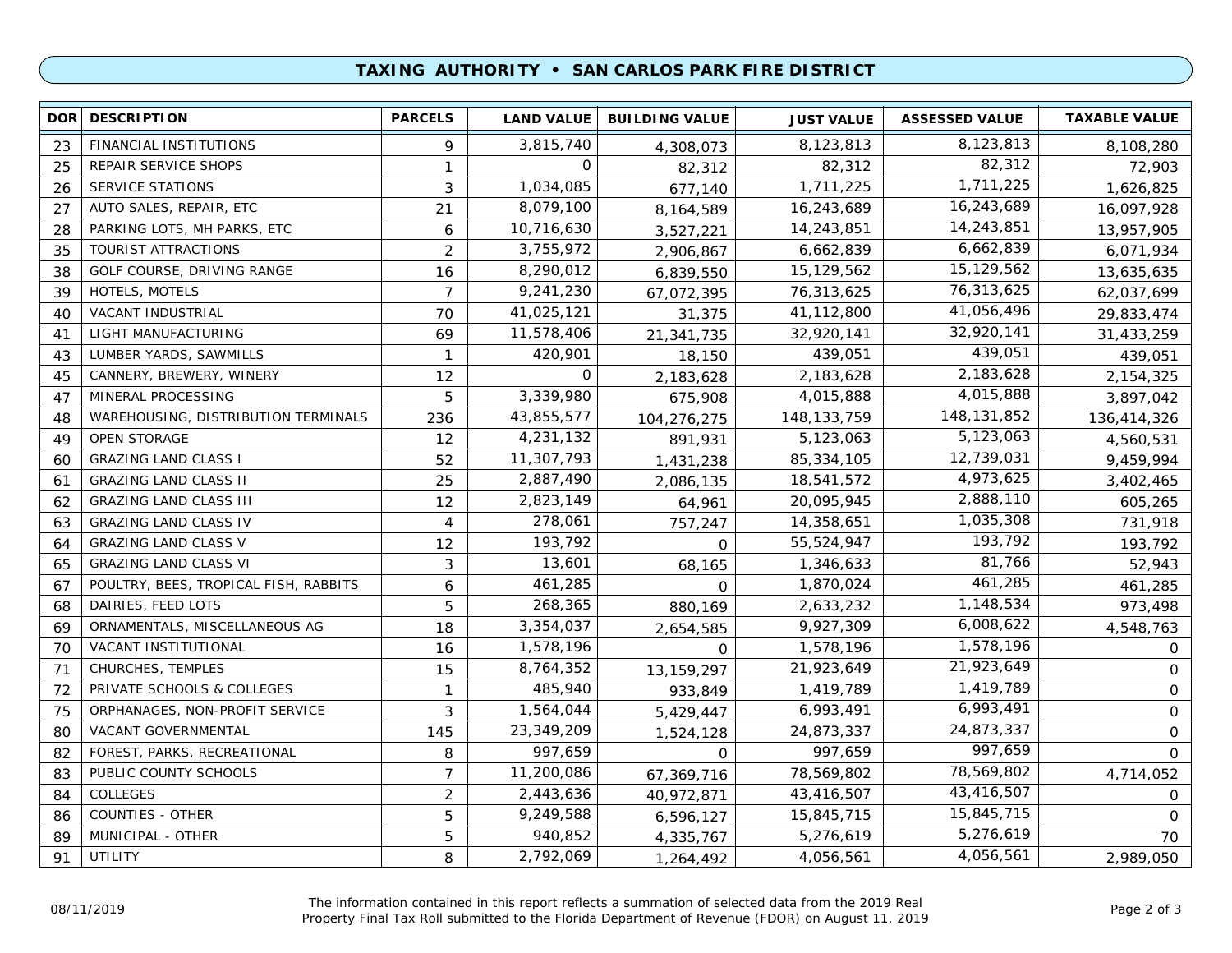### **TAXING AUTHORITY • SAN CARLOS PARK FIRE DISTRICT**

|    | <b>DOR DESCRIPTION</b>                | <b>PARCELS</b> | <b>LAND VALUE</b> | <b>BUILDING VALUE</b> | <b>JUST VALUE</b> | <b>ASSESSED VALUE</b> | <b>TAXABLE VALUE</b> |
|----|---------------------------------------|----------------|-------------------|-----------------------|-------------------|-----------------------|----------------------|
| 23 | FINANCIAL INSTITUTIONS                | 9              | 3,815,740         | 4,308,073             | 8,123,813         | 8,123,813             | 8,108,280            |
| 25 | REPAIR SERVICE SHOPS                  | $\mathbf{1}$   | 0                 | 82,312                | 82,312            | 82,312                | 72,903               |
| 26 | <b>SERVICE STATIONS</b>               | 3              | 1,034,085         | 677,140               | 1,711,225         | 1,711,225             | 1,626,825            |
| 27 | AUTO SALES, REPAIR, ETC               | 21             | 8,079,100         | 8,164,589             | 16,243,689        | 16,243,689            | 16,097,928           |
| 28 | PARKING LOTS, MH PARKS, ETC           | 6              | 10,716,630        | 3,527,221             | 14,243,851        | 14,243,851            | 13,957,905           |
| 35 | TOURIST ATTRACTIONS                   | $\overline{2}$ | 3,755,972         | 2,906,867             | 6,662,839         | 6,662,839             | 6,071,934            |
| 38 | GOLF COURSE, DRIVING RANGE            | 16             | 8,290,012         | 6,839,550             | 15,129,562        | 15,129,562            | 13,635,635           |
| 39 | HOTELS, MOTELS                        | $\overline{7}$ | 9,241,230         | 67,072,395            | 76,313,625        | 76,313,625            | 62,037,699           |
| 40 | VACANT INDUSTRIAL                     | 70             | 41,025,121        | 31,375                | 41,112,800        | 41,056,496            | 29,833,474           |
| 41 | LIGHT MANUFACTURING                   | 69             | 11,578,406        | 21,341,735            | 32,920,141        | 32,920,141            | 31,433,259           |
| 43 | LUMBER YARDS, SAWMILLS                | $\mathbf{1}$   | 420,901           | 18,150                | 439,051           | 439,051               | 439,051              |
| 45 | CANNERY, BREWERY, WINERY              | 12             | $\mathbf 0$       | 2,183,628             | 2,183,628         | 2,183,628             | 2,154,325            |
| 47 | MINERAL PROCESSING                    | 5              | 3,339,980         | 675,908               | 4,015,888         | 4,015,888             | 3,897,042            |
| 48 | WAREHOUSING, DISTRIBUTION TERMINALS   | 236            | 43,855,577        | 104,276,275           | 148, 133, 759     | 148, 131, 852         | 136,414,326          |
| 49 | <b>OPEN STORAGE</b>                   | 12             | 4,231,132         | 891,931               | 5,123,063         | 5,123,063             | 4,560,531            |
| 60 | <b>GRAZING LAND CLASS I</b>           | 52             | 11,307,793        | 1,431,238             | 85,334,105        | 12,739,031            | 9,459,994            |
| 61 | <b>GRAZING LAND CLASS II</b>          | 25             | 2,887,490         | 2,086,135             | 18,541,572        | 4,973,625             | 3,402,465            |
| 62 | <b>GRAZING LAND CLASS III</b>         | 12             | 2,823,149         | 64,961                | 20,095,945        | 2,888,110             | 605,265              |
| 63 | <b>GRAZING LAND CLASS IV</b>          | 4              | 278,061           | 757,247               | 14,358,651        | 1,035,308             | 731,918              |
| 64 | <b>GRAZING LAND CLASS V</b>           | 12             | 193,792           | $\Omega$              | 55,524,947        | 193,792               | 193,792              |
| 65 | <b>GRAZING LAND CLASS VI</b>          | 3              | 13,601            | 68,165                | 1,346,633         | 81,766                | 52,943               |
| 67 | POULTRY, BEES, TROPICAL FISH, RABBITS | 6              | 461,285           | $\Omega$              | 1,870,024         | 461,285               | 461,285              |
| 68 | DAIRIES, FEED LOTS                    | 5              | 268,365           | 880,169               | 2,633,232         | 1,148,534             | 973,498              |
| 69 | ORNAMENTALS, MISCELLANEOUS AG         | 18             | 3,354,037         | 2,654,585             | 9,927,309         | 6,008,622             | 4,548,763            |
| 70 | VACANT INSTITUTIONAL                  | 16             | 1,578,196         | 0                     | 1,578,196         | 1,578,196             | 0                    |
| 71 | CHURCHES, TEMPLES                     | 15             | 8,764,352         | 13,159,297            | 21,923,649        | 21,923,649            | 0                    |
| 72 | PRIVATE SCHOOLS & COLLEGES            | $\mathbf{1}$   | 485,940           | 933,849               | 1,419,789         | 1,419,789             | $\mathbf 0$          |
| 75 | ORPHANAGES, NON-PROFIT SERVICE        | 3              | 1,564,044         | 5,429,447             | 6,993,491         | 6,993,491             | $\mathbf 0$          |
| 80 | VACANT GOVERNMENTAL                   | 145            | 23,349,209        | 1,524,128             | 24,873,337        | 24,873,337            | $\mathbf 0$          |
| 82 | FOREST, PARKS, RECREATIONAL           | 8              | 997,659           | 0                     | 997,659           | 997,659               | $\mathsf{O}$         |
| 83 | PUBLIC COUNTY SCHOOLS                 | $\overline{7}$ | 11,200,086        | 67,369,716            | 78,569,802        | 78,569,802            | 4,714,052            |
| 84 | <b>COLLEGES</b>                       | 2              | 2,443,636         | 40,972,871            | 43,416,507        | 43,416,507            | 0                    |
| 86 | <b>COUNTIES - OTHER</b>               | 5              | 9,249,588         | 6,596,127             | 15,845,715        | 15,845,715            | $\mathbf 0$          |
| 89 | MUNICIPAL - OTHER                     | 5              | 940,852           | 4,335,767             | 5,276,619         | 5,276,619             | 70                   |
| 91 | UTILITY                               | 8              | 2,792,069         | 1,264,492             | 4,056,561         | 4,056,561             | 2,989,050            |